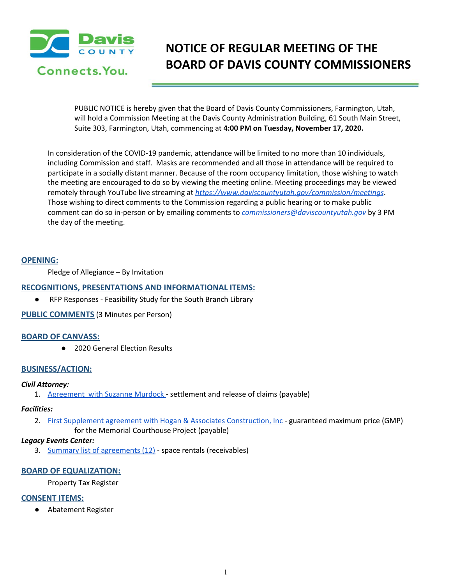

# **NOTICE OF REGULAR MEETING OF THE BOARD OF DAVIS COUNTY COMMISSIONERS**

PUBLIC NOTICE is hereby given that the Board of Davis County Commissioners, Farmington, Utah, will hold a Commission Meeting at the Davis County Administration Building, 61 South Main Street, Suite 303, Farmington, Utah, commencing at **4:00 PM on Tuesday, November 17, 2020.**

In consideration of the COVID-19 pandemic, attendance will be limited to no more than 10 individuals, including Commission and staff. Masks are recommended and all those in attendance will be required to participate in a socially distant manner. Because of the room occupancy limitation, those wishing to watch the meeting are encouraged to do so by viewing the meeting online. Meeting proceedings may be viewed remotely through YouTube live streaming at *<https://www.daviscountyutah.gov/commission/meetings>*. Those wishing to direct comments to the Commission regarding a public hearing or to make public comment can do so in-person or by emailing comments to *commissioners@daviscountyutah.gov* by 3 PM the day of the meeting.

## **OPENING:**

Pledge of Allegiance – By Invitation

## **RECOGNITIONS, PRESENTATIONS AND INFORMATIONAL ITEMS:**

● RFP Responses - Feasibility Study for the South Branch Library

## **PUBLIC COMMENTS** (3 Minutes per Person)

## **BOARD OF CANVASS:**

● 2020 General Election Results

## **BUSINESS/ACTION:**

## *Civil Attorney:*

1. [Agreement](https://drive.google.com/file/d/17QDRzrCwnGkUPFYvjRZGNZ0UHDqy73nR/view?usp=drivesdk) with Suzanne Murdock - settlement and release of claims (payable)

#### *Facilities:*

2. First Supplement agreement with Hogan & Associates [Construction,](https://drive.google.com/file/d/10c_VivB8tn4XDECi4GjTuuC3bOx1FTHR/view?usp=drivesdk) Inc - guaranteed maximum price (GMP) for the Memorial Courthouse Project (payable)

## *Legacy Events Center:*

3. Summary list of [agreements](https://drive.google.com/file/d/1n64fNpxN9V5fmPfJzoJnY5n7x5Zr788r/view?usp=drivesdk) (12) - space rentals (receivables)

## **BOARD OF EQUALIZATION:**

Property Tax Register

## **CONSENT ITEMS:**

● Abatement Register